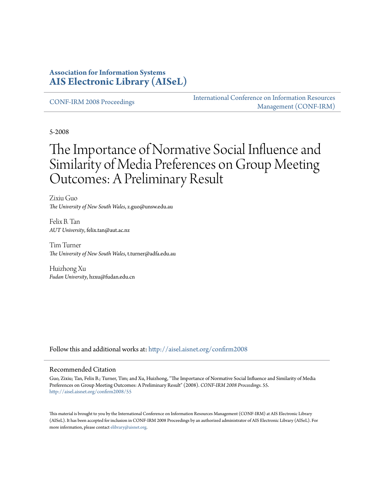#### **Association for Information Systems [AIS Electronic Library \(AISeL\)](http://aisel.aisnet.org?utm_source=aisel.aisnet.org%2Fconfirm2008%2F55&utm_medium=PDF&utm_campaign=PDFCoverPages)**

[CONF-IRM 2008 Proceedings](http://aisel.aisnet.org/confirm2008?utm_source=aisel.aisnet.org%2Fconfirm2008%2F55&utm_medium=PDF&utm_campaign=PDFCoverPages)

[International Conference on Information Resources](http://aisel.aisnet.org/conf-irm?utm_source=aisel.aisnet.org%2Fconfirm2008%2F55&utm_medium=PDF&utm_campaign=PDFCoverPages) [Management \(CONF-IRM\)](http://aisel.aisnet.org/conf-irm?utm_source=aisel.aisnet.org%2Fconfirm2008%2F55&utm_medium=PDF&utm_campaign=PDFCoverPages)

5-2008

# The Importance of Normative Social Influence and Similarity of Media Preferences on Group Meeting Outcomes: A Preliminary Result

Zixiu Guo *The University of New South Wales*, z.guo@unsw.edu.au

Felix B. Tan *AUT University*, felix.tan@aut.ac.nz

Tim Turner *The University of New South Wales*, t.turner@adfa.edu.au

Huizhong Xu *Fudan University*, hzxu@fudan.edu.cn

Follow this and additional works at: [http://aisel.aisnet.org/confirm2008](http://aisel.aisnet.org/confirm2008?utm_source=aisel.aisnet.org%2Fconfirm2008%2F55&utm_medium=PDF&utm_campaign=PDFCoverPages)

#### Recommended Citation

Guo, Zixiu; Tan, Felix B.; Turner, Tim; and Xu, Huizhong, "The Importance of Normative Social Influence and Similarity of Media Preferences on Group Meeting Outcomes: A Preliminary Result" (2008). *CONF-IRM 2008 Proceedings*. 55. [http://aisel.aisnet.org/confirm2008/55](http://aisel.aisnet.org/confirm2008/55?utm_source=aisel.aisnet.org%2Fconfirm2008%2F55&utm_medium=PDF&utm_campaign=PDFCoverPages)

This material is brought to you by the International Conference on Information Resources Management (CONF-IRM) at AIS Electronic Library (AISeL). It has been accepted for inclusion in CONF-IRM 2008 Proceedings by an authorized administrator of AIS Electronic Library (AISeL). For more information, please contact [elibrary@aisnet.org.](mailto:elibrary@aisnet.org%3E)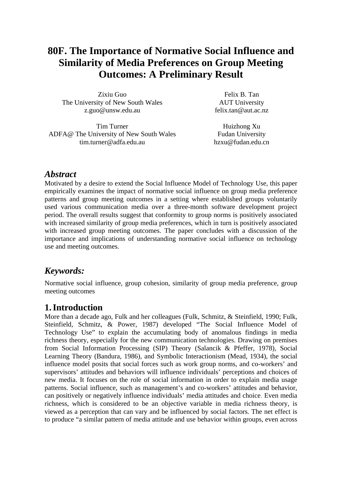## **80F. The Importance of Normative Social Influence and Similarity of Media Preferences on Group Meeting Outcomes: A Preliminary Result**

Zixiu Guo The University of New South Wales z.guo@unsw.edu.au

Felix B. Tan AUT University felix.tan@aut.ac.nz

Tim Turner ADFA@ The University of New South Wales tim.turner@adfa.edu.au

Huizhong Xu Fudan University hzxu@fudan.edu.cn

#### *Abstract*

Motivated by a desire to extend the Social Influence Model of Technology Use, this paper empirically examines the impact of normative social influence on group media preference patterns and group meeting outcomes in a setting where established groups voluntarily used various communication media over a three-month software development project period. The overall results suggest that conformity to group norms is positively associated with increased similarity of group media preferences, which in turn is positively associated with increased group meeting outcomes. The paper concludes with a discussion of the importance and implications of understanding normative social influence on technology use and meeting outcomes.

#### *Keywords:*

Normative social influence, group cohesion, similarity of group media preference, group meeting outcomes

#### **1.Introduction**

More than a decade ago, Fulk and her colleagues (Fulk, Schmitz, & Steinfield, 1990; Fulk, Steinfield, Schmitz, & Power, 1987) developed "The Social Influence Model of Technology Use" to explain the accumulating body of anomalous findings in media richness theory, especially for the new communication technologies. Drawing on premises from Social Information Processing (SIP) Theory (Salancik & Pfeffer, 1978), Social Learning Theory (Bandura, 1986), and Symbolic Interactionism (Mead, 1934), the social influence model posits that social forces such as work group norms, and co-workers' and supervisors' attitudes and behaviors will influence individuals' perceptions and choices of new media. It focuses on the role of social information in order to explain media usage patterns. Social influence, such as management's and co-workers' attitudes and behavior, can positively or negatively influence individuals' media attitudes and choice. Even media richness, which is considered to be an objective variable in media richness theory, is viewed as a perception that can vary and be influenced by social factors. The net effect is to produce "a similar pattern of media attitude and use behavior within groups, even across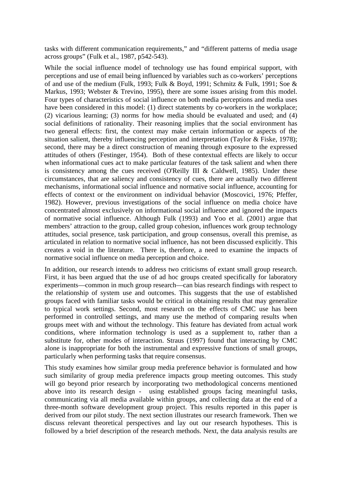tasks with different communication requirements," and "different patterns of media usage across groups" (Fulk et al., 1987, p542-543).

While the social influence model of technology use has found empirical support, with perceptions and use of email being influenced by variables such as co-workers' perceptions of and use of the medium (Fulk, 1993; Fulk & Boyd, 1991; Schmitz & Fulk, 1991; Soe & Markus, 1993; Webster & Trevino, 1995), there are some issues arising from this model. Four types of characteristics of social influence on both media perceptions and media uses have been considered in this model: (1) direct statements by co-workers in the workplace; (2) vicarious learning; (3) norms for how media should be evaluated and used; and (4) social definitions of rationality. Their reasoning implies that the social environment has two general effects: first, the context may make certain information or aspects of the situation salient, thereby influencing perception and interpretation (Taylor & Fiske, 1978); second, there may be a direct construction of meaning through exposure to the expressed attitudes of others (Festinger, 1954). Both of these contextual effects are likely to occur when informational cues act to make particular features of the task salient and when there is consistency among the cues received (O'Reilly III & Caldwell, 1985). Under these circumstances, that are saliency and consistency of cues, there are actually two different mechanisms, informational social influence and normative social influence, accounting for effects of context or the environment on individual behavior (Moscovici, 1976; Pfeffer, 1982). However, previous investigations of the social influence on media choice have concentrated almost exclusively on informational social influence and ignored the impacts of normative social influence. Although Fulk (1993) and Yoo et al. (2001) argue that members' attraction to the group, called group cohesion, influences work group technology attitudes, social presence, task participation, and group consensus, overall this premise, as articulated in relation to normative social influence, has not been discussed explicitly. This creates a void in the literature. There is, therefore, a need to examine the impacts of normative social influence on media perception and choice.

In addition, our research intends to address two criticisms of extant small group research. First, it has been argued that the use of ad hoc groups created specifically for laboratory experiments—common in much group research—can bias research findings with respect to the relationship of system use and outcomes. This suggests that the use of established groups faced with familiar tasks would be critical in obtaining results that may generalize to typical work settings. Second, most research on the effects of CMC use has been performed in controlled settings, and many use the method of comparing results when groups meet with and without the technology. This feature has deviated from actual work conditions, where information technology is used as a supplement to, rather than a substitute for, other modes of interaction. Straus (1997) found that interacting by CMC alone is inappropriate for both the instrumental and expressive functions of small groups, particularly when performing tasks that require consensus.

This study examines how similar group media preference behavior is formulated and how such similarity of group media preference impacts group meeting outcomes. This study will go beyond prior research by incorporating two methodological concerns mentioned above into its research design - using established groups facing meaningful tasks, communicating via all media available within groups, and collecting data at the end of a three-month software development group project. This results reported in this paper is derived from our pilot study. The next section illustrates our research framework. Then we discuss relevant theoretical perspectives and lay out our research hypotheses. This is followed by a brief description of the research methods. Next, the data analysis results are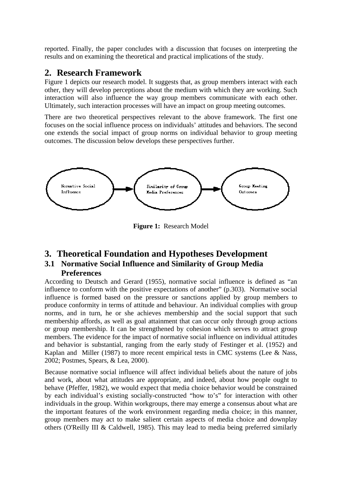reported. Finally, the paper concludes with a discussion that focuses on interpreting the results and on examining the theoretical and practical implications of the study.

#### **2. Research Framework**

Figure 1 depicts our research model. It suggests that, as group members interact with each other, they will develop perceptions about the medium with which they are working. Such interaction will also influence the way group members communicate with each other. Ultimately, such interaction processes will have an impact on group meeting outcomes.

There are two theoretical perspectives relevant to the above framework. The first one focuses on the social influence process on individuals' attitudes and behaviors. The second one extends the social impact of group norms on individual behavior to group meeting outcomes. The discussion below develops these perspectives further.



**Figure 1:** Research Model

#### **3. Theoretical Foundation and Hypotheses Development**

#### **3.1 Normative Social Influence and Similarity of Group Media Preferences**

According to Deutsch and Gerard (1955), normative social influence is defined as "an influence to conform with the positive expectations of another" (p.303). Normative social influence is formed based on the pressure or sanctions applied by group members to produce conformity in terms of attitude and behaviour. An individual complies with group norms, and in turn, he or she achieves membership and the social support that such membership affords, as well as goal attainment that can occur only through group actions or group membership. It can be strengthened by cohesion which serves to attract group members. The evidence for the impact of normative social influence on individual attitudes and behavior is substantial, ranging from the early study of Festinger et al. (1952) and Kaplan and Miller (1987) to more recent empirical tests in CMC systems (Lee & Nass, 2002; Postmes, Spears, & Lea, 2000).

Because normative social influence will affect individual beliefs about the nature of jobs and work, about what attitudes are appropriate, and indeed, about how people ought to behave (Pfeffer, 1982), we would expect that media choice behavior would be constrained by each individual's existing socially-constructed "how to's" for interaction with other individuals in the group. Within workgroups, there may emerge a consensus about what are the important features of the work environment regarding media choice; in this manner, group members may act to make salient certain aspects of media choice and downplay others (O'Reilly III & Caldwell, 1985). This may lead to media being preferred similarly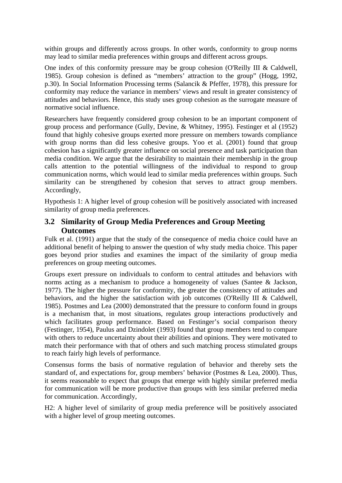within groups and differently across groups. In other words, conformity to group norms may lead to similar media preferences within groups and different across groups.

One index of this conformity pressure may be group cohesion (O'Reilly III & Caldwell, 1985). Group cohesion is defined as "members' attraction to the group" (Hogg, 1992, p.30). In Social Information Processing terms (Salancik & Pfeffer, 1978), this pressure for conformity may reduce the variance in members' views and result in greater consistency of attitudes and behaviors. Hence, this study uses group cohesion as the surrogate measure of normative social influence.

Researchers have frequently considered group cohesion to be an important component of group process and performance (Gully, Devine, & Whitney, 1995). Festinger et al (1952) found that highly cohesive groups exerted more pressure on members towards compliance with group norms than did less cohesive groups. Yoo et al. (2001) found that group cohesion has a significantly greater influence on social presence and task participation than media condition. We argue that the desirability to maintain their membership in the group calls attention to the potential willingness of the individual to respond to group communication norms, which would lead to similar media preferences within groups. Such similarity can be strengthened by cohesion that serves to attract group members. Accordingly,

Hypothesis 1: A higher level of group cohesion will be positively associated with increased similarity of group media preferences.

#### **3.2 Similarity of Group Media Preferences and Group Meeting Outcomes**

Fulk et al. (1991) argue that the study of the consequence of media choice could have an additional benefit of helping to answer the question of why study media choice. This paper goes beyond prior studies and examines the impact of the similarity of group media preferences on group meeting outcomes.

Groups exert pressure on individuals to conform to central attitudes and behaviors with norms acting as a mechanism to produce a homogeneity of values (Santee & Jackson, 1977). The higher the pressure for conformity, the greater the consistency of attitudes and behaviors, and the higher the satisfaction with job outcomes (O'Reilly III & Caldwell, 1985). Postmes and Lea (2000) demonstrated that the pressure to conform found in groups is a mechanism that, in most situations, regulates group interactions productively and which facilitates group performance. Based on Festinger's social comparison theory (Festinger, 1954), Paulus and Dzindolet (1993) found that group members tend to compare with others to reduce uncertainty about their abilities and opinions. They were motivated to match their performance with that of others and such matching process stimulated groups to reach fairly high levels of performance.

Consensus forms the basis of normative regulation of behavior and thereby sets the standard of, and expectations for, group members' behavior (Postmes & Lea, 2000). Thus, it seems reasonable to expect that groups that emerge with highly similar preferred media for communication will be more productive than groups with less similar preferred media for communication. Accordingly,

H2: A higher level of similarity of group media preference will be positively associated with a higher level of group meeting outcomes.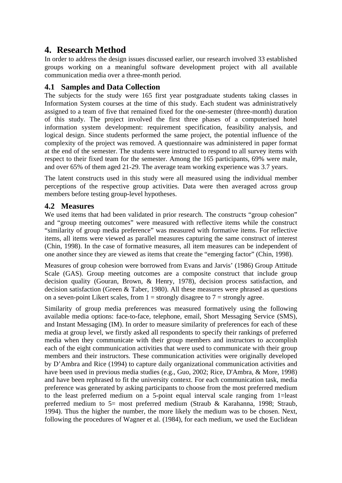### **4. Research Method**

In order to address the design issues discussed earlier, our research involved 33 established groups working on a meaningful software development project with all available communication media over a three-month period.

#### **4.1 Samples and Data Collection**

The subjects for the study were 165 first year postgraduate students taking classes in Information System courses at the time of this study. Each student was administratively assigned to a team of five that remained fixed for the one-semester (three-month) duration of this study. The project involved the first three phases of a computerised hotel information system development: requirement specification, feasibility analysis, and logical design. Since students performed the same project, the potential influence of the complexity of the project was removed. A questionnaire was administered in paper format at the end of the semester. The students were instructed to respond to all survey items with respect to their fixed team for the semester. Among the 165 participants, 69% were male, and over 65% of them aged 21-29. The average team working experience was 3.7 years.

The latent constructs used in this study were all measured using the individual member perceptions of the respective group activities. Data were then averaged across group members before testing group-level hypotheses.

#### **4.2 Measures**

We used items that had been validated in prior research. The constructs "group cohesion" and "group meeting outcomes" were measured with reflective items while the construct "similarity of group media preference" was measured with formative items. For reflective items, all items were viewed as parallel measures capturing the same construct of interest (Chin, 1998). In the case of formative measures, all item measures can be independent of one another since they are viewed as items that create the "emerging factor" (Chin, 1998).

Measures of group cohesion were borrowed from Evans and Jarvis' (1986) Group Attitude Scale (GAS). Group meeting outcomes are a composite construct that include group decision quality (Gouran, Brown, & Henry, 1978), decision process satisfaction, and decision satisfaction (Green & Taber, 1980). All these measures were phrased as questions on a seven-point Likert scales, from  $1 =$  strongly disagree to  $7 =$  strongly agree.

Similarity of group media preferences was measured formatively using the following available media options: face-to-face, telephone, email, Short Messaging Service (SMS), and Instant Messaging (IM). In order to measure similarity of preferences for each of these media at group level, we firstly asked all respondents to specify their rankings of preferred media when they communicate with their group members and instructors to accomplish each of the eight communication activities that were used to communicate with their group members and their instructors. These communication activities were originally developed by D'Ambra and Rice (1994) to capture daily organizational communication activities and have been used in previous media studies (e.g., Guo, 2002; Rice, D'Ambra, & More, 1998) and have been rephrased to fit the university context. For each communication task, media preference was generated by asking participants to choose from the most preferred medium to the least preferred medium on a 5-point equal interval scale ranging from 1=least preferred medium to 5= most preferred medium (Straub & Karahanna, 1998; Straub, 1994). Thus the higher the number, the more likely the medium was to be chosen. Next, following the procedures of Wagner et al. (1984), for each medium, we used the Euclidean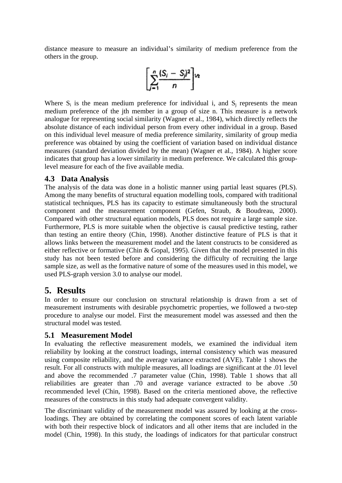distance measure to measure an individual's similarity of medium preference from the others in the group.

$$
\left[\sum_{j=1}^n\frac{(S_j-S_j)^2}{n}\right]_{{}^{1}\times}
$$

Where  $S_i$  is the mean medium preference for individual i, and  $S_i$  represents the mean medium preference of the jth member in a group of size n. This measure is a network analogue for representing social similarity (Wagner et al., 1984), which directly reflects the absolute distance of each individual person from every other individual in a group. Based on this individual level measure of media preference similarity, similarity of group media preference was obtained by using the coefficient of variation based on individual distance measures (standard deviation divided by the mean) (Wagner et al., 1984). A higher score indicates that group has a lower similarity in medium preference. We calculated this grouplevel measure for each of the five available media.

#### **4.3 Data Analysis**

The analysis of the data was done in a holistic manner using partial least squares (PLS). Among the many benefits of structural equation modelling tools, compared with traditional statistical techniques, PLS has its capacity to estimate simultaneously both the structural component and the measurement component (Gefen, Straub, & Boudreau, 2000). Compared with other structural equation models, PLS does not require a large sample size. Furthermore, PLS is more suitable when the objective is causal predictive testing, rather than testing an entire theory (Chin, 1998). Another distinctive feature of PLS is that it allows links between the measurement model and the latent constructs to be considered as either reflective or formative (Chin & Gopal, 1995). Given that the model presented in this study has not been tested before and considering the difficulty of recruiting the large sample size, as well as the formative nature of some of the measures used in this model, we used PLS-graph version 3.0 to analyse our model.

#### **5. Results**

In order to ensure our conclusion on structural relationship is drawn from a set of measurement instruments with desirable psychometric properties, we followed a two-step procedure to analyse our model. First the measurement model was assessed and then the structural model was tested.

#### **5.1 Measurement Model**

In evaluating the reflective measurement models, we examined the individual item reliability by looking at the construct loadings, internal consistency which was measured using composite reliability, and the average variance extracted (AVE). Table 1 shows the result. For all constructs with multiple measures, all loadings are significant at the .01 level and above the recommended .7 parameter value (Chin, 1998). Table 1 shows that all reliabilities are greater than .70 and average variance extracted to be above .50 recommended level (Chin, 1998). Based on the criteria mentioned above, the reflective measures of the constructs in this study had adequate convergent validity.

The discriminant validity of the measurement model was assured by looking at the crossloadings. They are obtained by correlating the component scores of each latent variable with both their respective block of indicators and all other items that are included in the model (Chin, 1998). In this study, the loadings of indicators for that particular construct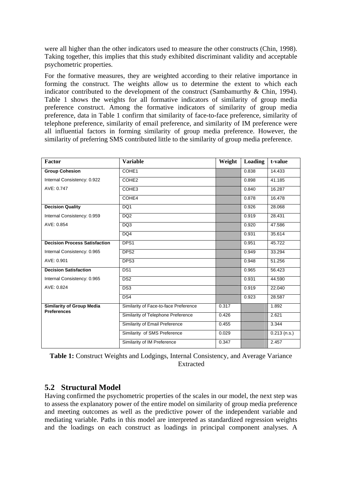were all higher than the other indicators used to measure the other constructs (Chin, 1998). Taking together, this implies that this study exhibited discriminant validity and acceptable psychometric properties.

For the formative measures, they are weighted according to their relative importance in forming the construct. The weights allow us to determine the extent to which each indicator contributed to the development of the construct (Sambamurthy & Chin, 1994). Table 1 shows the weights for all formative indicators of similarity of group media preference construct. Among the formative indicators of similarity of group media preference, data in Table 1 confirm that similarity of face-to-face preference, similarity of telephone preference, similarity of email preference, and similarity of IM preference were all influential factors in forming similarity of group media preference. However, the similarity of preferring SMS contributed little to the similarity of group media preference.

| Factor                                                 | <b>Variable</b>                       | Weight | Loading | t-value        |
|--------------------------------------------------------|---------------------------------------|--------|---------|----------------|
| <b>Group Cohesion</b>                                  | COHE1                                 |        | 0.838   | 14.433         |
| Internal Consistency: 0.922                            | COHE <sub>2</sub>                     |        | 0.898   | 41.185         |
| AVE: 0.747                                             | COHE3                                 |        | 0.840   | 16.287         |
|                                                        | COHE4                                 |        | 0.878   | 16.478         |
| <b>Decision Quality</b>                                | DQ1                                   |        | 0.926   | 28.068         |
| Internal Consistency: 0.959                            | DQ <sub>2</sub>                       |        | 0.919   | 28.431         |
| AVE: 0.854                                             | DQ3                                   |        | 0.920   | 47.586         |
|                                                        | DQ4                                   |        | 0.931   | 35.614         |
| <b>Decision Process Satisfaction</b>                   | DPS <sub>1</sub>                      |        | 0.951   | 45.722         |
| Internal Consistency: 0.965                            | DPS <sub>2</sub>                      |        | 0.949   | 33.294         |
| AVE: 0.901                                             | DPS3                                  |        | 0.948   | 51.256         |
| <b>Decision Satisfaction</b>                           | DS <sub>1</sub>                       |        | 0.965   | 56.423         |
| Internal Consistency: 0.965                            | DS2                                   |        | 0.931   | 44.590         |
| AVE: 0.824                                             | DS3                                   |        | 0.919   | 22.040         |
|                                                        | DS4                                   |        | 0.923   | 28.587         |
| <b>Similarity of Group Media</b><br><b>Preferences</b> | Similarity of Face-to-face Preference | 0.317  |         | 1.892          |
|                                                        | Similarity of Telephone Preference    | 0.426  |         | 2.621          |
|                                                        | Similarity of Email Preference        | 0.455  |         | 3.344          |
|                                                        | Similarity of SMS Preference          | 0.029  |         | $0.213$ (n.s.) |
|                                                        | Similarity of IM Preference           | 0.347  |         | 2.457          |

**Table 1:** Construct Weights and Lodgings, Internal Consistency, and Average Variance Extracted

#### **5.2 Structural Model**

Having confirmed the psychometric properties of the scales in our model, the next step was to assess the explanatory power of the entire model on similarity of group media preference and meeting outcomes as well as the predictive power of the independent variable and mediating variable. Paths in this model are interpreted as standardized regression weights and the loadings on each construct as loadings in principal component analyses. A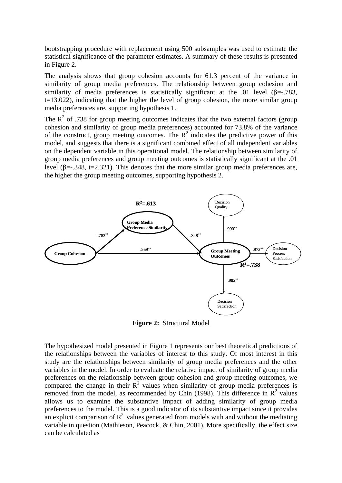bootstrapping procedure with replacement using 500 subsamples was used to estimate the statistical significance of the parameter estimates. A summary of these results is presented in Figure 2.

The analysis shows that group cohesion accounts for 61.3 percent of the variance in similarity of group media preferences. The relationship between group cohesion and similarity of media preferences is statistically significant at the .01 level  $(\beta = .783, )$ t=13.022), indicating that the higher the level of group cohesion, the more similar group media preferences are, supporting hypothesis 1.

The  $R^2$  of .738 for group meeting outcomes indicates that the two external factors (group cohesion and similarity of group media preferences) accounted for 73.8% of the variance of the construct, group meeting outcomes. The  $R^2$  indicates the predictive power of this model, and suggests that there is a significant combined effect of all independent variables on the dependent variable in this operational model. The relationship between similarity of group media preferences and group meeting outcomes is statistically significant at the .01 level (β=-.348, t=2.321). This denotes that the more similar group media preferences are, the higher the group meeting outcomes, supporting hypothesis 2.



**Figure 2:** Structural Model

The hypothesized model presented in Figure 1 represents our best theoretical predictions of the relationships between the variables of interest to this study. Of most interest in this study are the relationships between similarity of group media preferences and the other variables in the model. In order to evaluate the relative impact of similarity of group media preferences on the relationship between group cohesion and group meeting outcomes, we compared the change in their  $R^2$  values when similarity of group media preferences is removed from the model, as recommended by Chin (1998). This difference in  $\mathbb{R}^2$  values allows us to examine the substantive impact of adding similarity of group media preferences to the model. This is a good indicator of its substantive impact since it provides an explicit comparison of  $\mathbb{R}^2$  values generated from models with and without the mediating variable in question (Mathieson, Peacock, & Chin, 2001). More specifically, the effect size can be calculated as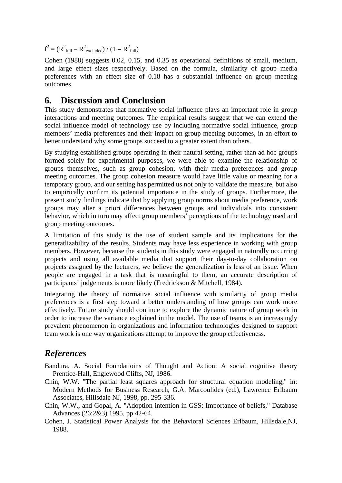$f^2 = (R^2_{full} - R^2_{\text{ excluded}}) / (1 - R^2_{\text{full}})$ 

Cohen (1988) suggests 0.02, 0.15, and 0.35 as operational definitions of small, medium, and large effect sizes respectively. Based on the formula, similarity of group media preferences with an effect size of 0.18 has a substantial influence on group meeting outcomes.

#### **6. Discussion and Conclusion**

This study demonstrates that normative social influence plays an important role in group interactions and meeting outcomes. The empirical results suggest that we can extend the social influence model of technology use by including normative social influence, group members' media preferences and their impact on group meeting outcomes, in an effort to better understand why some groups succeed to a greater extent than others.

By studying established groups operating in their natural setting, rather than ad hoc groups formed solely for experimental purposes, we were able to examine the relationship of groups themselves, such as group cohesion, with their media preferences and group meeting outcomes. The group cohesion measure would have little value or meaning for a temporary group, and our setting has permitted us not only to validate the measure, but also to empirically confirm its potential importance in the study of groups. Furthermore, the present study findings indicate that by applying group norms about media preference, work groups may alter a priori differences between groups and individuals into consistent behavior, which in turn may affect group members' perceptions of the technology used and group meeting outcomes.

A limitation of this study is the use of student sample and its implications for the generatlizability of the results. Students may have less experience in working with group members. However, because the students in this study were engaged in naturally occurring projects and using all available media that support their day-to-day collaboration on projects assigned by the lecturers, we believe the generalization is less of an issue. When people are engaged in a task that is meaningful to them, an accurate description of participants' judgements is more likely (Fredrickson & Mitchell, 1984).

Integrating the theory of normative social influence with similarity of group media preferences is a first step toward a better understanding of how groups can work more effectively. Future study should continue to explore the dynamic nature of group work in order to increase the variance explained in the model. The use of teams is an increasingly prevalent phenomenon in organizations and information technologies designed to support team work is one way organizations attempt to improve the group effectiveness.

### *References*

- Bandura, A. Social Foundatioins of Thought and Action: A social cognitive theory Prentice-Hall, Englewood Cliffs, NJ, 1986.
- Chin, W.W. "The partial least squares approach for structural equation modeling," in: Modern Methods for Business Research, G.A. Marcoulides (ed.), Lawrence Erlbaum Associates, Hillsdale NJ, 1998, pp. 295-336.
- Chin, W.W., and Gopal, A. "Adoption intention in GSS: Importance of beliefs," Database Advances (26:2&3) 1995, pp 42-64.
- Cohen, J. Statistical Power Analysis for the Behavioral Sciences Erlbaum, Hillsdale,NJ, 1988.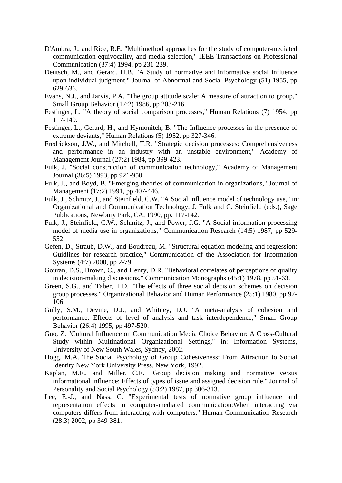- D'Ambra, J., and Rice, R.E. "Multimethod approaches for the study of computer-mediated communication equivocality, and media selection," IEEE Transactions on Professional Communication (37:4) 1994, pp 231-239.
- Deutsch, M., and Gerard, H.B. "A Study of normative and informative social influence upon individual judgment," Journal of Abnormal and Social Psychology (51) 1955, pp 629-636.
- Evans, N.J., and Jarvis, P.A. "The group attitude scale: A measure of attraction to group," Small Group Behavior (17:2) 1986, pp 203-216.
- Festinger, L. "A theory of social comparison processes," Human Relations (7) 1954, pp 117-140.
- Festinger, L., Gerard, H., and Hymonitch, B. "The Influence processes in the presence of extreme deviants," Human Relations (5) 1952, pp 327-346.
- Fredrickson, J.W., and Mitchell, T.R. "Strategic decision processes: Comprehensiveness and performance in an industry with an unstable environment," Academy of Management Journal (27:2) 1984, pp 399-423.
- Fulk, J. "Social construction of communication technology," Academy of Management Journal (36:5) 1993, pp 921-950.
- Fulk, J., and Boyd, B. "Emerging theories of communication in organizations," Journal of Management (17:2) 1991, pp 407-446.
- Fulk, J., Schmitz, J., and Steinfield, C.W. "A Social influence model of technology use," in: Organizational and Communication Technology, J. Fulk and C. Steinfield (eds.), Sage Publications, Newbury Park, CA, 1990, pp. 117-142.
- Fulk, J., Steinfield, C.W., Schmitz, J., and Power, J.G. "A Social information processing model of media use in organizations," Communication Research (14:5) 1987, pp 529- 552.
- Gefen, D., Straub, D.W., and Boudreau, M. "Structural equation modeling and regression: Guidlines for research practice," Communication of the Association for Information Systems (4:7) 2000, pp 2-79.
- Gouran, D.S., Brown, C., and Henry, D.R. "Behavioral correlates of perceptions of quality in decision-making discussions," Communication Monographs (45:1) 1978, pp 51-63.
- Green, S.G., and Taber, T.D. "The effects of three social decision schemes on decision group processes," Organizational Behavior and Human Performance (25:1) 1980, pp 97- 106.
- Gully, S.M., Devine, D.J., and Whitney, D.J. "A meta-analysis of cohesion and performance: Effects of level of analysis and task interdependence," Small Group Behavior (26:4) 1995, pp 497-520.
- Guo, Z. "Cultural Influence on Communication Media Choice Behavior: A Cross-Cultural Study within Multinational Organizational Settings," in: Information Systems, University of New South Wales, Sydney, 2002.
- Hogg, M.A. The Social Psychology of Group Cohesiveness: From Attraction to Social Identity New York University Press, New York, 1992.
- Kaplan, M.F., and Miller, C.E. "Group decision making and normative versus informational influence: Effects of types of issue and assigned decision rule," Journal of Personality and Social Psychology (53:2) 1987, pp 306-313.
- Lee, E.-J., and Nass, C. "Experimental tests of normative group influence and representation effects in computer-mediated communication:When interacting via computers differs from interacting with computers," Human Communication Research (28:3) 2002, pp 349-381.